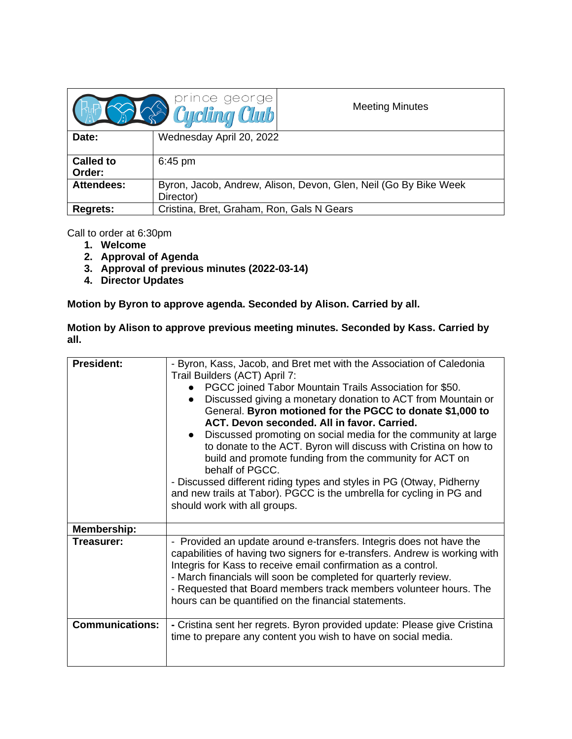|                            | prince george                                                                 | <b>Meeting Minutes</b> |
|----------------------------|-------------------------------------------------------------------------------|------------------------|
| Date:                      | Wednesday April 20, 2022                                                      |                        |
| <b>Called to</b><br>Order: | $6:45$ pm                                                                     |                        |
| <b>Attendees:</b>          | Byron, Jacob, Andrew, Alison, Devon, Glen, Neil (Go By Bike Week<br>Director) |                        |
| <b>Regrets:</b>            | Cristina, Bret, Graham, Ron, Gals N Gears                                     |                        |

Call to order at 6:30pm

- **1. Welcome**
- **2. Approval of Agenda**
- **3. Approval of previous minutes (2022-03-14)**
- **4. Director Updates**

**Motion by Byron to approve agenda. Seconded by Alison. Carried by all.**

**Motion by Alison to approve previous meeting minutes. Seconded by Kass. Carried by all.**

| <b>President:</b>                | - Byron, Kass, Jacob, and Bret met with the Association of Caledonia<br>Trail Builders (ACT) April 7:<br>PGCC joined Tabor Mountain Trails Association for \$50.<br>Discussed giving a monetary donation to ACT from Mountain or<br>General. Byron motioned for the PGCC to donate \$1,000 to<br>ACT. Devon seconded. All in favor. Carried.<br>Discussed promoting on social media for the community at large<br>to donate to the ACT. Byron will discuss with Cristina on how to<br>build and promote funding from the community for ACT on<br>behalf of PGCC.<br>- Discussed different riding types and styles in PG (Otway, Pidherny<br>and new trails at Tabor). PGCC is the umbrella for cycling in PG and<br>should work with all groups. |
|----------------------------------|--------------------------------------------------------------------------------------------------------------------------------------------------------------------------------------------------------------------------------------------------------------------------------------------------------------------------------------------------------------------------------------------------------------------------------------------------------------------------------------------------------------------------------------------------------------------------------------------------------------------------------------------------------------------------------------------------------------------------------------------------|
| <b>Membership:</b><br>Treasurer: | - Provided an update around e-transfers. Integris does not have the<br>capabilities of having two signers for e-transfers. Andrew is working with                                                                                                                                                                                                                                                                                                                                                                                                                                                                                                                                                                                                |
|                                  | Integris for Kass to receive email confirmation as a control.<br>- March financials will soon be completed for quarterly review.<br>- Requested that Board members track members volunteer hours. The<br>hours can be quantified on the financial statements.                                                                                                                                                                                                                                                                                                                                                                                                                                                                                    |
| <b>Communications:</b>           | - Cristina sent her regrets. Byron provided update: Please give Cristina<br>time to prepare any content you wish to have on social media.                                                                                                                                                                                                                                                                                                                                                                                                                                                                                                                                                                                                        |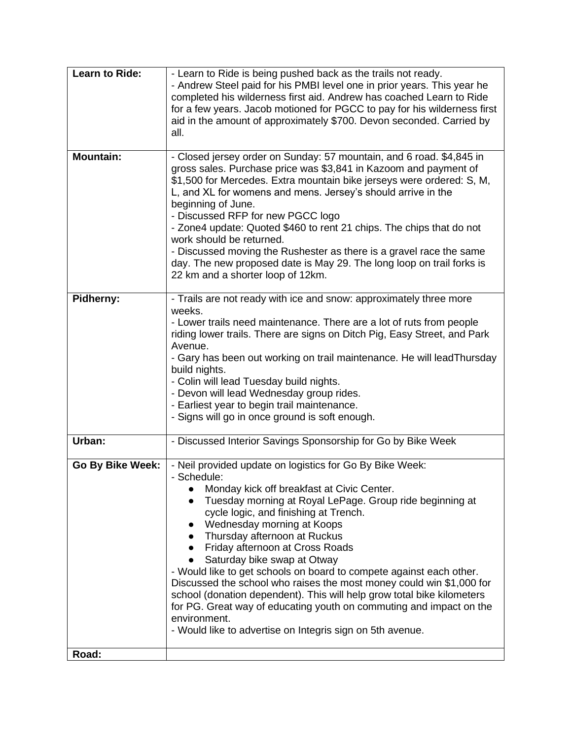| <b>Learn to Ride:</b> | - Learn to Ride is being pushed back as the trails not ready.<br>- Andrew Steel paid for his PMBI level one in prior years. This year he<br>completed his wilderness first aid. Andrew has coached Learn to Ride<br>for a few years. Jacob motioned for PGCC to pay for his wilderness first<br>aid in the amount of approximately \$700. Devon seconded. Carried by<br>all.                                                                                                                                                                                                                                                                                                                                                            |
|-----------------------|-----------------------------------------------------------------------------------------------------------------------------------------------------------------------------------------------------------------------------------------------------------------------------------------------------------------------------------------------------------------------------------------------------------------------------------------------------------------------------------------------------------------------------------------------------------------------------------------------------------------------------------------------------------------------------------------------------------------------------------------|
| <b>Mountain:</b>      | - Closed jersey order on Sunday: 57 mountain, and 6 road. \$4,845 in<br>gross sales. Purchase price was \$3,841 in Kazoom and payment of<br>\$1,500 for Mercedes. Extra mountain bike jerseys were ordered: S, M,<br>L, and XL for womens and mens. Jersey's should arrive in the<br>beginning of June.<br>- Discussed RFP for new PGCC logo<br>- Zone4 update: Quoted \$460 to rent 21 chips. The chips that do not<br>work should be returned.<br>- Discussed moving the Rushester as there is a gravel race the same<br>day. The new proposed date is May 29. The long loop on trail forks is<br>22 km and a shorter loop of 12km.                                                                                                   |
| Pidherny:             | - Trails are not ready with ice and snow: approximately three more<br>weeks.<br>- Lower trails need maintenance. There are a lot of ruts from people<br>riding lower trails. There are signs on Ditch Pig, Easy Street, and Park<br>Avenue.<br>- Gary has been out working on trail maintenance. He will lead Thursday<br>build nights.<br>- Colin will lead Tuesday build nights.<br>- Devon will lead Wednesday group rides.<br>- Earliest year to begin trail maintenance.<br>- Signs will go in once ground is soft enough.                                                                                                                                                                                                         |
| Urban:                | - Discussed Interior Savings Sponsorship for Go by Bike Week                                                                                                                                                                                                                                                                                                                                                                                                                                                                                                                                                                                                                                                                            |
| Go By Bike Week:      | - Neil provided update on logistics for Go By Bike Week:<br>- Schedule:<br>Monday kick off breakfast at Civic Center.<br>Tuesday morning at Royal LePage. Group ride beginning at<br>cycle logic, and finishing at Trench.<br>Wednesday morning at Koops<br>Thursday afternoon at Ruckus<br>Friday afternoon at Cross Roads<br>Saturday bike swap at Otway<br>- Would like to get schools on board to compete against each other.<br>Discussed the school who raises the most money could win \$1,000 for<br>school (donation dependent). This will help grow total bike kilometers<br>for PG. Great way of educating youth on commuting and impact on the<br>environment.<br>- Would like to advertise on Integris sign on 5th avenue. |
| Road:                 |                                                                                                                                                                                                                                                                                                                                                                                                                                                                                                                                                                                                                                                                                                                                         |